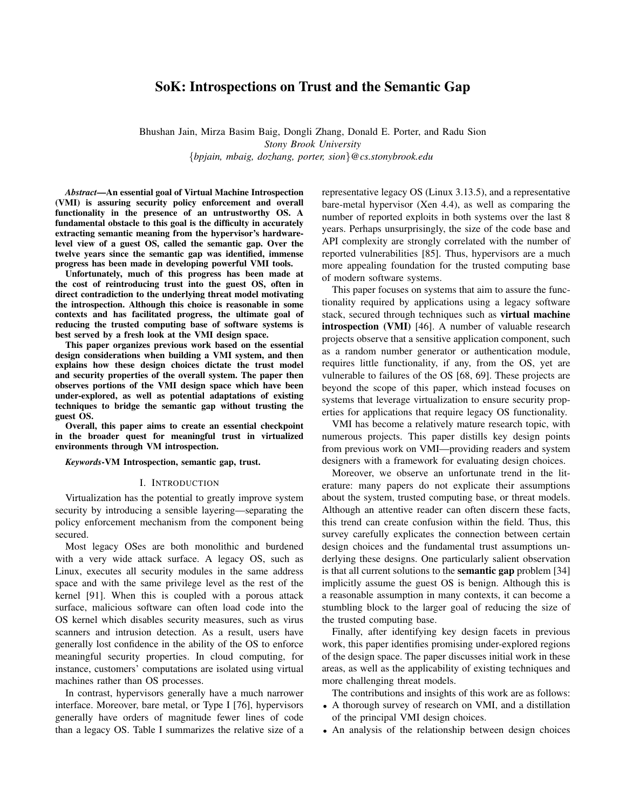# SoK: Introspections on Trust and the Semantic Gap

Bhushan Jain, Mirza Basim Baig, Dongli Zhang, Donald E. Porter, and Radu Sion *Stony Brook University* {*bpjain, mbaig, dozhang, porter, sion*}*@cs.stonybrook.edu*

*Abstract*—An essential goal of Virtual Machine Introspection (VMI) is assuring security policy enforcement and overall functionality in the presence of an untrustworthy OS. A fundamental obstacle to this goal is the difficulty in accurately extracting semantic meaning from the hypervisor's hardwarelevel view of a guest OS, called the semantic gap. Over the twelve years since the semantic gap was identified, immense progress has been made in developing powerful VMI tools.

Unfortunately, much of this progress has been made at the cost of reintroducing trust into the guest OS, often in direct contradiction to the underlying threat model motivating the introspection. Although this choice is reasonable in some contexts and has facilitated progress, the ultimate goal of reducing the trusted computing base of software systems is best served by a fresh look at the VMI design space.

This paper organizes previous work based on the essential design considerations when building a VMI system, and then explains how these design choices dictate the trust model and security properties of the overall system. The paper then observes portions of the VMI design space which have been under-explored, as well as potential adaptations of existing techniques to bridge the semantic gap without trusting the guest OS.

Overall, this paper aims to create an essential checkpoint in the broader quest for meaningful trust in virtualized environments through VM introspection.

#### *Keywords*-VM Introspection, semantic gap, trust.

#### I. INTRODUCTION

Virtualization has the potential to greatly improve system security by introducing a sensible layering—separating the policy enforcement mechanism from the component being secured.

Most legacy OSes are both monolithic and burdened with a very wide attack surface. A legacy OS, such as Linux, executes all security modules in the same address space and with the same privilege level as the rest of the kernel [91]. When this is coupled with a porous attack surface, malicious software can often load code into the OS kernel which disables security measures, such as virus scanners and intrusion detection. As a result, users have generally lost confidence in the ability of the OS to enforce meaningful security properties. In cloud computing, for instance, customers' computations are isolated using virtual machines rather than OS processes.

In contrast, hypervisors generally have a much narrower interface. Moreover, bare metal, or Type I [76], hypervisors generally have orders of magnitude fewer lines of code than a legacy OS. Table I summarizes the relative size of a representative legacy OS (Linux 3.13.5), and a representative bare-metal hypervisor (Xen 4.4), as well as comparing the number of reported exploits in both systems over the last 8 years. Perhaps unsurprisingly, the size of the code base and API complexity are strongly correlated with the number of reported vulnerabilities [85]. Thus, hypervisors are a much more appealing foundation for the trusted computing base of modern software systems.

This paper focuses on systems that aim to assure the functionality required by applications using a legacy software stack, secured through techniques such as virtual machine introspection (VMI) [46]. A number of valuable research projects observe that a sensitive application component, such as a random number generator or authentication module, requires little functionality, if any, from the OS, yet are vulnerable to failures of the OS [68, 69]. These projects are beyond the scope of this paper, which instead focuses on systems that leverage virtualization to ensure security properties for applications that require legacy OS functionality.

VMI has become a relatively mature research topic, with numerous projects. This paper distills key design points from previous work on VMI—providing readers and system designers with a framework for evaluating design choices.

Moreover, we observe an unfortunate trend in the literature: many papers do not explicate their assumptions about the system, trusted computing base, or threat models. Although an attentive reader can often discern these facts, this trend can create confusion within the field. Thus, this survey carefully explicates the connection between certain design choices and the fundamental trust assumptions underlying these designs. One particularly salient observation is that all current solutions to the semantic gap problem [34] implicitly assume the guest OS is benign. Although this is a reasonable assumption in many contexts, it can become a stumbling block to the larger goal of reducing the size of the trusted computing base.

Finally, after identifying key design facets in previous work, this paper identifies promising under-explored regions of the design space. The paper discusses initial work in these areas, as well as the applicability of existing techniques and more challenging threat models.

The contributions and insights of this work are as follows:

- A thorough survey of research on VMI, and a distillation of the principal VMI design choices.
- An analysis of the relationship between design choices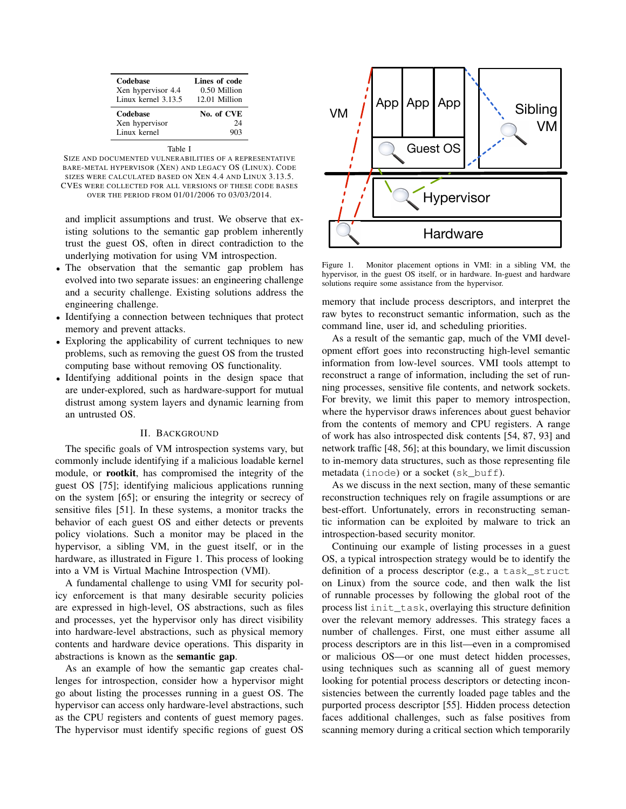| Codebase                                   | Lines of code    |  |  |  |
|--------------------------------------------|------------------|--|--|--|
| Xen hypervisor 4.4                         | 0.50 Million     |  |  |  |
| Linux kernel 3.13.5                        | 12.01 Million    |  |  |  |
| Codebase<br>Xen hypervisor<br>Linux kernel | No. of CVE<br>24 |  |  |  |

Table I SIZE AND DOCUMENTED VULNERABILITIES OF A REPRESENTATIVE BARE-METAL HYPERVISOR (XEN) AND LEGACY OS (LINUX). CODE SIZES WERE CALCULATED BASED ON XEN 4.4 AND LINUX 3.13.5. CVES WERE COLLECTED FOR ALL VERSIONS OF THESE CODE BASES OVER THE PERIOD FROM 01/01/2006 TO 03/03/2014.

and implicit assumptions and trust. We observe that existing solutions to the semantic gap problem inherently trust the guest OS, often in direct contradiction to the underlying motivation for using VM introspection.

- The observation that the semantic gap problem has evolved into two separate issues: an engineering challenge and a security challenge. Existing solutions address the engineering challenge.
- Identifying a connection between techniques that protect memory and prevent attacks.
- Exploring the applicability of current techniques to new problems, such as removing the guest OS from the trusted computing base without removing OS functionality.
- Identifying additional points in the design space that are under-explored, such as hardware-support for mutual distrust among system layers and dynamic learning from an untrusted OS.

### II. BACKGROUND

The specific goals of VM introspection systems vary, but commonly include identifying if a malicious loadable kernel module, or rootkit, has compromised the integrity of the guest OS [75]; identifying malicious applications running on the system [65]; or ensuring the integrity or secrecy of sensitive files [51]. In these systems, a monitor tracks the behavior of each guest OS and either detects or prevents policy violations. Such a monitor may be placed in the hypervisor, a sibling VM, in the guest itself, or in the hardware, as illustrated in Figure 1. This process of looking into a VM is Virtual Machine Introspection (VMI).

A fundamental challenge to using VMI for security policy enforcement is that many desirable security policies are expressed in high-level, OS abstractions, such as files and processes, yet the hypervisor only has direct visibility into hardware-level abstractions, such as physical memory contents and hardware device operations. This disparity in abstractions is known as the semantic gap.

As an example of how the semantic gap creates challenges for introspection, consider how a hypervisor might go about listing the processes running in a guest OS. The hypervisor can access only hardware-level abstractions, such as the CPU registers and contents of guest memory pages. The hypervisor must identify specific regions of guest OS



Figure 1. Monitor placement options in VMI: in a sibling VM, the hypervisor, in the guest OS itself, or in hardware. In-guest and hardware solutions require some assistance from the hypervisor.

memory that include process descriptors, and interpret the raw bytes to reconstruct semantic information, such as the command line, user id, and scheduling priorities.

As a result of the semantic gap, much of the VMI development effort goes into reconstructing high-level semantic information from low-level sources. VMI tools attempt to reconstruct a range of information, including the set of running processes, sensitive file contents, and network sockets. For brevity, we limit this paper to memory introspection, where the hypervisor draws inferences about guest behavior from the contents of memory and CPU registers. A range of work has also introspected disk contents [54, 87, 93] and network traffic [48, 56]; at this boundary, we limit discussion to in-memory data structures, such as those representing file metadata (inode) or a socket (sk\_buff).

As we discuss in the next section, many of these semantic reconstruction techniques rely on fragile assumptions or are best-effort. Unfortunately, errors in reconstructing semantic information can be exploited by malware to trick an introspection-based security monitor.

Continuing our example of listing processes in a guest OS, a typical introspection strategy would be to identify the definition of a process descriptor (e.g., a task\_struct on Linux) from the source code, and then walk the list of runnable processes by following the global root of the process list init\_task, overlaying this structure definition over the relevant memory addresses. This strategy faces a number of challenges. First, one must either assume all process descriptors are in this list—even in a compromised or malicious OS—or one must detect hidden processes, using techniques such as scanning all of guest memory looking for potential process descriptors or detecting inconsistencies between the currently loaded page tables and the purported process descriptor [55]. Hidden process detection faces additional challenges, such as false positives from scanning memory during a critical section which temporarily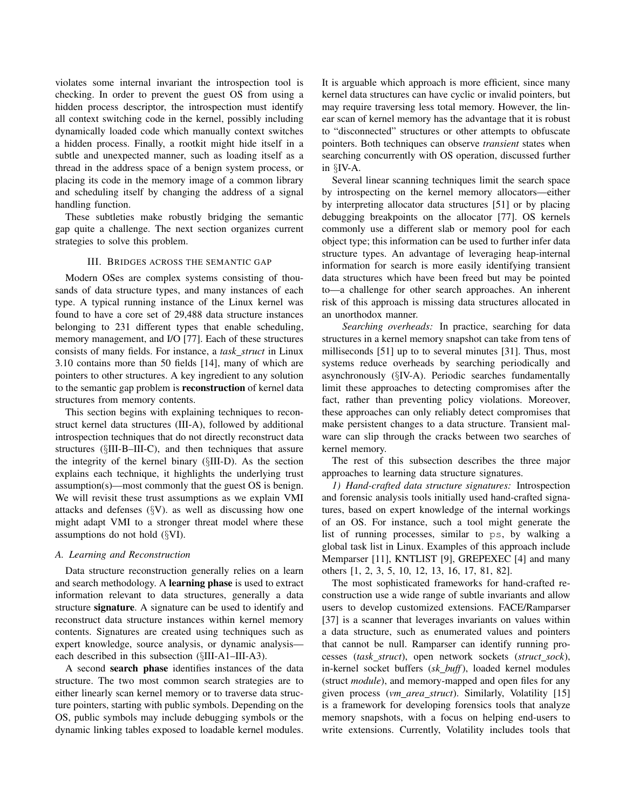violates some internal invariant the introspection tool is checking. In order to prevent the guest OS from using a hidden process descriptor, the introspection must identify all context switching code in the kernel, possibly including dynamically loaded code which manually context switches a hidden process. Finally, a rootkit might hide itself in a subtle and unexpected manner, such as loading itself as a thread in the address space of a benign system process, or placing its code in the memory image of a common library and scheduling itself by changing the address of a signal handling function.

These subtleties make robustly bridging the semantic gap quite a challenge. The next section organizes current strategies to solve this problem.

# III. BRIDGES ACROSS THE SEMANTIC GAP

Modern OSes are complex systems consisting of thousands of data structure types, and many instances of each type. A typical running instance of the Linux kernel was found to have a core set of 29,488 data structure instances belonging to 231 different types that enable scheduling, memory management, and I/O [77]. Each of these structures consists of many fields. For instance, a *task struct* in Linux 3.10 contains more than 50 fields [14], many of which are pointers to other structures. A key ingredient to any solution to the semantic gap problem is reconstruction of kernel data structures from memory contents.

This section begins with explaining techniques to reconstruct kernel data structures (III-A), followed by additional introspection techniques that do not directly reconstruct data structures (§III-B–III-C), and then techniques that assure the integrity of the kernel binary (§III-D). As the section explains each technique, it highlights the underlying trust assumption(s)—most commonly that the guest OS is benign. We will revisit these trust assumptions as we explain VMI attacks and defenses (§V). as well as discussing how one might adapt VMI to a stronger threat model where these assumptions do not hold (§VI).

# *A. Learning and Reconstruction*

Data structure reconstruction generally relies on a learn and search methodology. A learning phase is used to extract information relevant to data structures, generally a data structure signature. A signature can be used to identify and reconstruct data structure instances within kernel memory contents. Signatures are created using techniques such as expert knowledge, source analysis, or dynamic analysis each described in this subsection (§III-A1–III-A3).

A second search phase identifies instances of the data structure. The two most common search strategies are to either linearly scan kernel memory or to traverse data structure pointers, starting with public symbols. Depending on the OS, public symbols may include debugging symbols or the dynamic linking tables exposed to loadable kernel modules. It is arguable which approach is more efficient, since many kernel data structures can have cyclic or invalid pointers, but may require traversing less total memory. However, the linear scan of kernel memory has the advantage that it is robust to "disconnected" structures or other attempts to obfuscate pointers. Both techniques can observe *transient* states when searching concurrently with OS operation, discussed further in §IV-A.

Several linear scanning techniques limit the search space by introspecting on the kernel memory allocators—either by interpreting allocator data structures [51] or by placing debugging breakpoints on the allocator [77]. OS kernels commonly use a different slab or memory pool for each object type; this information can be used to further infer data structure types. An advantage of leveraging heap-internal information for search is more easily identifying transient data structures which have been freed but may be pointed to—a challenge for other search approaches. An inherent risk of this approach is missing data structures allocated in an unorthodox manner.

*Searching overheads:* In practice, searching for data structures in a kernel memory snapshot can take from tens of milliseconds [51] up to to several minutes [31]. Thus, most systems reduce overheads by searching periodically and asynchronously (§IV-A). Periodic searches fundamentally limit these approaches to detecting compromises after the fact, rather than preventing policy violations. Moreover, these approaches can only reliably detect compromises that make persistent changes to a data structure. Transient malware can slip through the cracks between two searches of kernel memory.

The rest of this subsection describes the three major approaches to learning data structure signatures.

*1) Hand-crafted data structure signatures:* Introspection and forensic analysis tools initially used hand-crafted signatures, based on expert knowledge of the internal workings of an OS. For instance, such a tool might generate the list of running processes, similar to ps, by walking a global task list in Linux. Examples of this approach include Memparser [11], KNTLIST [9], GREPEXEC [4] and many others [1, 2, 3, 5, 10, 12, 13, 16, 17, 81, 82].

The most sophisticated frameworks for hand-crafted reconstruction use a wide range of subtle invariants and allow users to develop customized extensions. FACE/Ramparser [37] is a scanner that leverages invariants on values within a data structure, such as enumerated values and pointers that cannot be null. Ramparser can identify running processes (*task struct*), open network sockets (*struct sock*), in-kernel socket buffers (*sk buff*), loaded kernel modules (struct *module*), and memory-mapped and open files for any given process (*vm area struct*). Similarly, Volatility [15] is a framework for developing forensics tools that analyze memory snapshots, with a focus on helping end-users to write extensions. Currently, Volatility includes tools that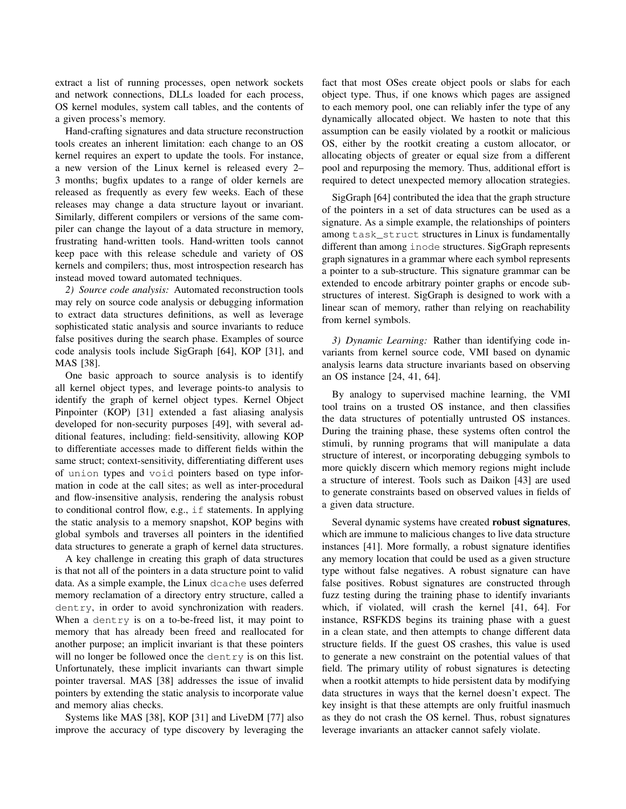extract a list of running processes, open network sockets and network connections, DLLs loaded for each process, OS kernel modules, system call tables, and the contents of a given process's memory.

Hand-crafting signatures and data structure reconstruction tools creates an inherent limitation: each change to an OS kernel requires an expert to update the tools. For instance, a new version of the Linux kernel is released every 2– 3 months; bugfix updates to a range of older kernels are released as frequently as every few weeks. Each of these releases may change a data structure layout or invariant. Similarly, different compilers or versions of the same compiler can change the layout of a data structure in memory, frustrating hand-written tools. Hand-written tools cannot keep pace with this release schedule and variety of OS kernels and compilers; thus, most introspection research has instead moved toward automated techniques.

*2) Source code analysis:* Automated reconstruction tools may rely on source code analysis or debugging information to extract data structures definitions, as well as leverage sophisticated static analysis and source invariants to reduce false positives during the search phase. Examples of source code analysis tools include SigGraph [64], KOP [31], and MAS [38].

One basic approach to source analysis is to identify all kernel object types, and leverage points-to analysis to identify the graph of kernel object types. Kernel Object Pinpointer (KOP) [31] extended a fast aliasing analysis developed for non-security purposes [49], with several additional features, including: field-sensitivity, allowing KOP to differentiate accesses made to different fields within the same struct; context-sensitivity, differentiating different uses of union types and void pointers based on type information in code at the call sites; as well as inter-procedural and flow-insensitive analysis, rendering the analysis robust to conditional control flow, e.g., if statements. In applying the static analysis to a memory snapshot, KOP begins with global symbols and traverses all pointers in the identified data structures to generate a graph of kernel data structures.

A key challenge in creating this graph of data structures is that not all of the pointers in a data structure point to valid data. As a simple example, the Linux dcache uses deferred memory reclamation of a directory entry structure, called a dentry, in order to avoid synchronization with readers. When a dentry is on a to-be-freed list, it may point to memory that has already been freed and reallocated for another purpose; an implicit invariant is that these pointers will no longer be followed once the dentry is on this list. Unfortunately, these implicit invariants can thwart simple pointer traversal. MAS [38] addresses the issue of invalid pointers by extending the static analysis to incorporate value and memory alias checks.

Systems like MAS [38], KOP [31] and LiveDM [77] also improve the accuracy of type discovery by leveraging the fact that most OSes create object pools or slabs for each object type. Thus, if one knows which pages are assigned to each memory pool, one can reliably infer the type of any dynamically allocated object. We hasten to note that this assumption can be easily violated by a rootkit or malicious OS, either by the rootkit creating a custom allocator, or allocating objects of greater or equal size from a different pool and repurposing the memory. Thus, additional effort is required to detect unexpected memory allocation strategies.

SigGraph [64] contributed the idea that the graph structure of the pointers in a set of data structures can be used as a signature. As a simple example, the relationships of pointers among task struct structures in Linux is fundamentally different than among inode structures. SigGraph represents graph signatures in a grammar where each symbol represents a pointer to a sub-structure. This signature grammar can be extended to encode arbitrary pointer graphs or encode substructures of interest. SigGraph is designed to work with a linear scan of memory, rather than relying on reachability from kernel symbols.

*3) Dynamic Learning:* Rather than identifying code invariants from kernel source code, VMI based on dynamic analysis learns data structure invariants based on observing an OS instance [24, 41, 64].

By analogy to supervised machine learning, the VMI tool trains on a trusted OS instance, and then classifies the data structures of potentially untrusted OS instances. During the training phase, these systems often control the stimuli, by running programs that will manipulate a data structure of interest, or incorporating debugging symbols to more quickly discern which memory regions might include a structure of interest. Tools such as Daikon [43] are used to generate constraints based on observed values in fields of a given data structure.

Several dynamic systems have created robust signatures, which are immune to malicious changes to live data structure instances [41]. More formally, a robust signature identifies any memory location that could be used as a given structure type without false negatives. A robust signature can have false positives. Robust signatures are constructed through fuzz testing during the training phase to identify invariants which, if violated, will crash the kernel [41, 64]. For instance, RSFKDS begins its training phase with a guest in a clean state, and then attempts to change different data structure fields. If the guest OS crashes, this value is used to generate a new constraint on the potential values of that field. The primary utility of robust signatures is detecting when a rootkit attempts to hide persistent data by modifying data structures in ways that the kernel doesn't expect. The key insight is that these attempts are only fruitful inasmuch as they do not crash the OS kernel. Thus, robust signatures leverage invariants an attacker cannot safely violate.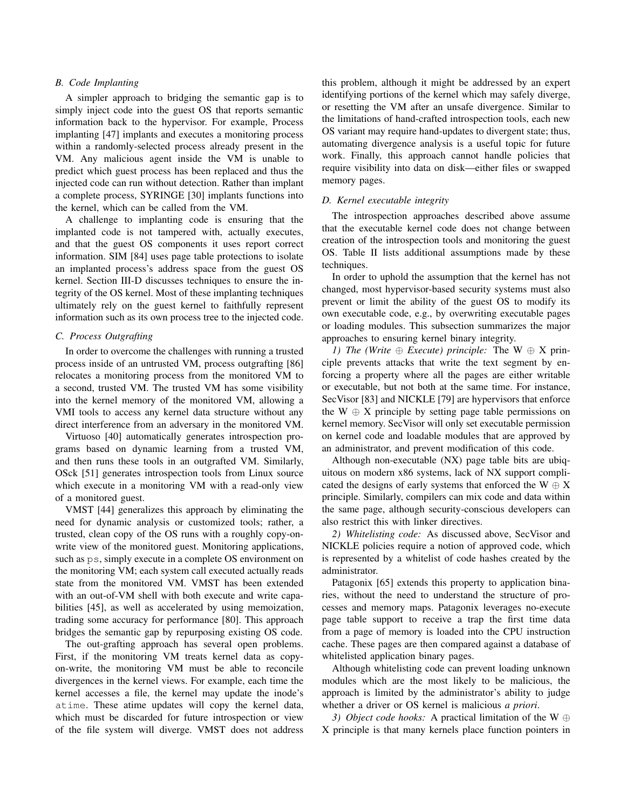# *B. Code Implanting*

A simpler approach to bridging the semantic gap is to simply inject code into the guest OS that reports semantic information back to the hypervisor. For example, Process implanting [47] implants and executes a monitoring process within a randomly-selected process already present in the VM. Any malicious agent inside the VM is unable to predict which guest process has been replaced and thus the injected code can run without detection. Rather than implant a complete process, SYRINGE [30] implants functions into the kernel, which can be called from the VM.

A challenge to implanting code is ensuring that the implanted code is not tampered with, actually executes, and that the guest OS components it uses report correct information. SIM [84] uses page table protections to isolate an implanted process's address space from the guest OS kernel. Section III-D discusses techniques to ensure the integrity of the OS kernel. Most of these implanting techniques ultimately rely on the guest kernel to faithfully represent information such as its own process tree to the injected code.

# *C. Process Outgrafting*

In order to overcome the challenges with running a trusted process inside of an untrusted VM, process outgrafting [86] relocates a monitoring process from the monitored VM to a second, trusted VM. The trusted VM has some visibility into the kernel memory of the monitored VM, allowing a VMI tools to access any kernel data structure without any direct interference from an adversary in the monitored VM.

Virtuoso [40] automatically generates introspection programs based on dynamic learning from a trusted VM, and then runs these tools in an outgrafted VM. Similarly, OSck [51] generates introspection tools from Linux source which execute in a monitoring VM with a read-only view of a monitored guest.

VMST [44] generalizes this approach by eliminating the need for dynamic analysis or customized tools; rather, a trusted, clean copy of the OS runs with a roughly copy-onwrite view of the monitored guest. Monitoring applications, such as ps, simply execute in a complete OS environment on the monitoring VM; each system call executed actually reads state from the monitored VM. VMST has been extended with an out-of-VM shell with both execute and write capabilities [45], as well as accelerated by using memoization, trading some accuracy for performance [80]. This approach bridges the semantic gap by repurposing existing OS code.

The out-grafting approach has several open problems. First, if the monitoring VM treats kernel data as copyon-write, the monitoring VM must be able to reconcile divergences in the kernel views. For example, each time the kernel accesses a file, the kernel may update the inode's atime. These atime updates will copy the kernel data, which must be discarded for future introspection or view of the file system will diverge. VMST does not address this problem, although it might be addressed by an expert identifying portions of the kernel which may safely diverge, or resetting the VM after an unsafe divergence. Similar to the limitations of hand-crafted introspection tools, each new OS variant may require hand-updates to divergent state; thus, automating divergence analysis is a useful topic for future work. Finally, this approach cannot handle policies that require visibility into data on disk—either files or swapped memory pages.

### *D. Kernel executable integrity*

The introspection approaches described above assume that the executable kernel code does not change between creation of the introspection tools and monitoring the guest OS. Table II lists additional assumptions made by these techniques.

In order to uphold the assumption that the kernel has not changed, most hypervisor-based security systems must also prevent or limit the ability of the guest OS to modify its own executable code, e.g., by overwriting executable pages or loading modules. This subsection summarizes the major approaches to ensuring kernel binary integrity.

*1) The (Write*  $\oplus$  *Execute) principle:* The W  $\oplus$  X principle prevents attacks that write the text segment by enforcing a property where all the pages are either writable or executable, but not both at the same time. For instance, SecVisor [83] and NICKLE [79] are hypervisors that enforce the  $W \oplus X$  principle by setting page table permissions on kernel memory. SecVisor will only set executable permission on kernel code and loadable modules that are approved by an administrator, and prevent modification of this code.

Although non-executable (NX) page table bits are ubiquitous on modern x86 systems, lack of NX support complicated the designs of early systems that enforced the W  $\oplus$  X principle. Similarly, compilers can mix code and data within the same page, although security-conscious developers can also restrict this with linker directives.

*2) Whitelisting code:* As discussed above, SecVisor and NICKLE policies require a notion of approved code, which is represented by a whitelist of code hashes created by the administrator.

Patagonix [65] extends this property to application binaries, without the need to understand the structure of processes and memory maps. Patagonix leverages no-execute page table support to receive a trap the first time data from a page of memory is loaded into the CPU instruction cache. These pages are then compared against a database of whitelisted application binary pages.

Although whitelisting code can prevent loading unknown modules which are the most likely to be malicious, the approach is limited by the administrator's ability to judge whether a driver or OS kernel is malicious *a priori*.

*3) Object code hooks:* A practical limitation of the W ⊕ X principle is that many kernels place function pointers in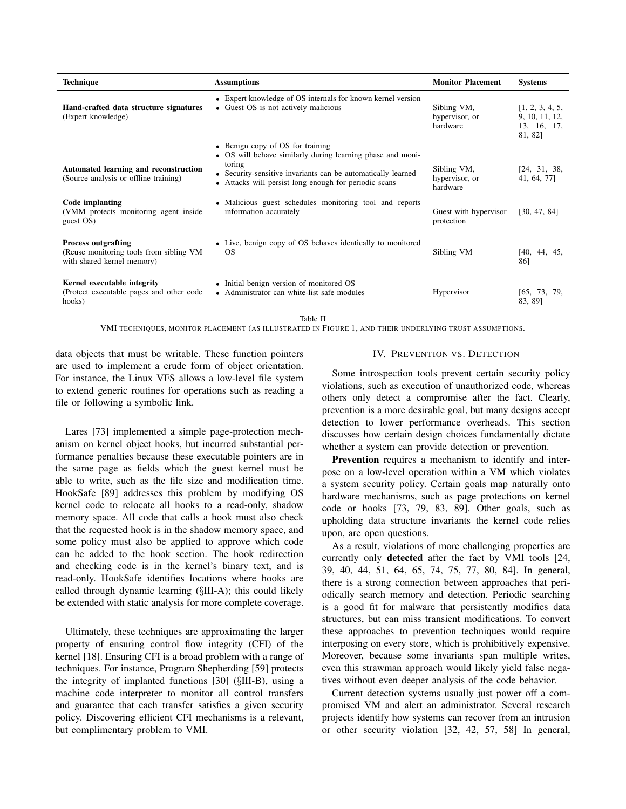| <b>Technique</b>                                                                                    | <b>Assumptions</b>                                                                                                                                                                                                                | <b>Monitor Placement</b>                  | <b>Systems</b>                                              |
|-----------------------------------------------------------------------------------------------------|-----------------------------------------------------------------------------------------------------------------------------------------------------------------------------------------------------------------------------------|-------------------------------------------|-------------------------------------------------------------|
| Hand-crafted data structure signatures<br>(Expert knowledge)                                        | • Expert knowledge of OS internals for known kernel version<br>• Guest OS is not actively malicious                                                                                                                               | Sibling VM,<br>hypervisor, or<br>hardware | [1, 2, 3, 4, 5,<br>9, 10, 11, 12,<br>13, 16, 17,<br>81, 82] |
| Automated learning and reconstruction<br>(Source analysis or offline training)                      | • Benign copy of OS for training<br>• OS will behave similarly during learning phase and moni-<br>toring<br>• Security-sensitive invariants can be automatically learned<br>• Attacks will persist long enough for periodic scans | Sibling VM,<br>hypervisor, or<br>hardware | [24, 31, 38,<br>41, 64, 77]                                 |
| Code implanting<br>(VMM protects monitoring agent inside)<br>guest OS)                              | • Malicious guest schedules monitoring tool and reports<br>information accurately                                                                                                                                                 | Guest with hypervisor<br>protection       | [30, 47, 84]                                                |
| <b>Process outgrafting</b><br>(Reuse monitoring tools from sibling VM<br>with shared kernel memory) | • Live, benign copy of OS behaves identically to monitored<br>OS                                                                                                                                                                  | Sibling VM                                | [40, 44, 45,<br>861                                         |
| Kernel executable integrity<br>(Protect executable pages and other code)<br>hooks)                  | • Initial benign version of monitored OS<br>• Administrator can white-list safe modules                                                                                                                                           | Hypervisor                                | [65, 73, 79]<br>83, 89]                                     |

Table II

VMI TECHNIQUES, MONITOR PLACEMENT (AS ILLUSTRATED IN FIGURE 1, AND THEIR UNDERLYING TRUST ASSUMPTIONS.

data objects that must be writable. These function pointers are used to implement a crude form of object orientation. For instance, the Linux VFS allows a low-level file system to extend generic routines for operations such as reading a file or following a symbolic link.

Lares [73] implemented a simple page-protection mechanism on kernel object hooks, but incurred substantial performance penalties because these executable pointers are in the same page as fields which the guest kernel must be able to write, such as the file size and modification time. HookSafe [89] addresses this problem by modifying OS kernel code to relocate all hooks to a read-only, shadow memory space. All code that calls a hook must also check that the requested hook is in the shadow memory space, and some policy must also be applied to approve which code can be added to the hook section. The hook redirection and checking code is in the kernel's binary text, and is read-only. HookSafe identifies locations where hooks are called through dynamic learning (§III-A); this could likely be extended with static analysis for more complete coverage.

Ultimately, these techniques are approximating the larger property of ensuring control flow integrity (CFI) of the kernel [18]. Ensuring CFI is a broad problem with a range of techniques. For instance, Program Shepherding [59] protects the integrity of implanted functions [30] (§III-B), using a machine code interpreter to monitor all control transfers and guarantee that each transfer satisfies a given security policy. Discovering efficient CFI mechanisms is a relevant, but complimentary problem to VMI.

## IV. PREVENTION VS. DETECTION

Some introspection tools prevent certain security policy violations, such as execution of unauthorized code, whereas others only detect a compromise after the fact. Clearly, prevention is a more desirable goal, but many designs accept detection to lower performance overheads. This section discusses how certain design choices fundamentally dictate whether a system can provide detection or prevention.

Prevention requires a mechanism to identify and interpose on a low-level operation within a VM which violates a system security policy. Certain goals map naturally onto hardware mechanisms, such as page protections on kernel code or hooks [73, 79, 83, 89]. Other goals, such as upholding data structure invariants the kernel code relies upon, are open questions.

As a result, violations of more challenging properties are currently only detected after the fact by VMI tools [24, 39, 40, 44, 51, 64, 65, 74, 75, 77, 80, 84]. In general, there is a strong connection between approaches that periodically search memory and detection. Periodic searching is a good fit for malware that persistently modifies data structures, but can miss transient modifications. To convert these approaches to prevention techniques would require interposing on every store, which is prohibitively expensive. Moreover, because some invariants span multiple writes, even this strawman approach would likely yield false negatives without even deeper analysis of the code behavior.

Current detection systems usually just power off a compromised VM and alert an administrator. Several research projects identify how systems can recover from an intrusion or other security violation [32, 42, 57, 58] In general,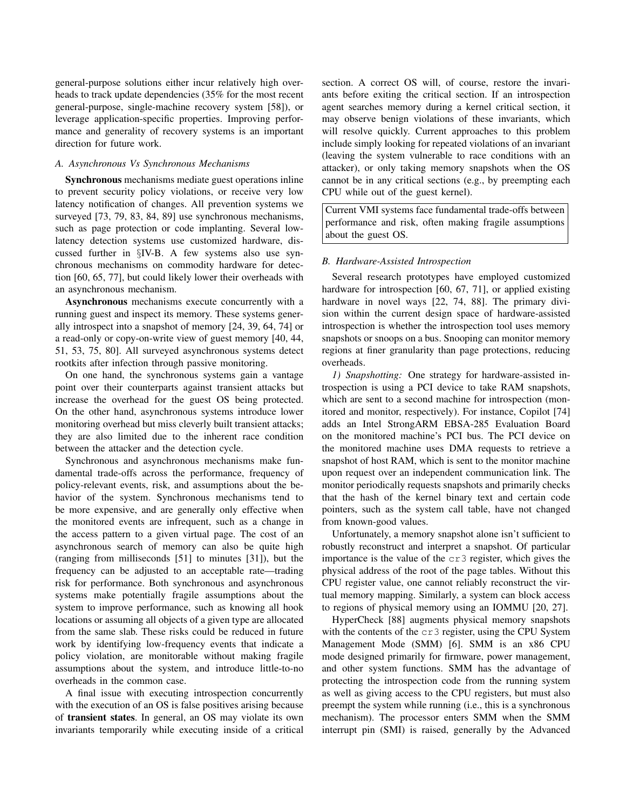general-purpose solutions either incur relatively high overheads to track update dependencies (35% for the most recent general-purpose, single-machine recovery system [58]), or leverage application-specific properties. Improving performance and generality of recovery systems is an important direction for future work.

# *A. Asynchronous Vs Synchronous Mechanisms*

Synchronous mechanisms mediate guest operations inline to prevent security policy violations, or receive very low latency notification of changes. All prevention systems we surveyed [73, 79, 83, 84, 89] use synchronous mechanisms, such as page protection or code implanting. Several lowlatency detection systems use customized hardware, discussed further in §IV-B. A few systems also use synchronous mechanisms on commodity hardware for detection [60, 65, 77], but could likely lower their overheads with an asynchronous mechanism.

Asynchronous mechanisms execute concurrently with a running guest and inspect its memory. These systems generally introspect into a snapshot of memory [24, 39, 64, 74] or a read-only or copy-on-write view of guest memory [40, 44, 51, 53, 75, 80]. All surveyed asynchronous systems detect rootkits after infection through passive monitoring.

On one hand, the synchronous systems gain a vantage point over their counterparts against transient attacks but increase the overhead for the guest OS being protected. On the other hand, asynchronous systems introduce lower monitoring overhead but miss cleverly built transient attacks; they are also limited due to the inherent race condition between the attacker and the detection cycle.

Synchronous and asynchronous mechanisms make fundamental trade-offs across the performance, frequency of policy-relevant events, risk, and assumptions about the behavior of the system. Synchronous mechanisms tend to be more expensive, and are generally only effective when the monitored events are infrequent, such as a change in the access pattern to a given virtual page. The cost of an asynchronous search of memory can also be quite high (ranging from milliseconds [51] to minutes [31]), but the frequency can be adjusted to an acceptable rate—trading risk for performance. Both synchronous and asynchronous systems make potentially fragile assumptions about the system to improve performance, such as knowing all hook locations or assuming all objects of a given type are allocated from the same slab. These risks could be reduced in future work by identifying low-frequency events that indicate a policy violation, are monitorable without making fragile assumptions about the system, and introduce little-to-no overheads in the common case.

A final issue with executing introspection concurrently with the execution of an OS is false positives arising because of transient states. In general, an OS may violate its own invariants temporarily while executing inside of a critical section. A correct OS will, of course, restore the invariants before exiting the critical section. If an introspection agent searches memory during a kernel critical section, it may observe benign violations of these invariants, which will resolve quickly. Current approaches to this problem include simply looking for repeated violations of an invariant (leaving the system vulnerable to race conditions with an attacker), or only taking memory snapshots when the OS cannot be in any critical sections (e.g., by preempting each CPU while out of the guest kernel).

Current VMI systems face fundamental trade-offs between performance and risk, often making fragile assumptions about the guest OS.

#### *B. Hardware-Assisted Introspection*

Several research prototypes have employed customized hardware for introspection [60, 67, 71], or applied existing hardware in novel ways [22, 74, 88]. The primary division within the current design space of hardware-assisted introspection is whether the introspection tool uses memory snapshots or snoops on a bus. Snooping can monitor memory regions at finer granularity than page protections, reducing overheads.

*1) Snapshotting:* One strategy for hardware-assisted introspection is using a PCI device to take RAM snapshots, which are sent to a second machine for introspection (monitored and monitor, respectively). For instance, Copilot [74] adds an Intel StrongARM EBSA-285 Evaluation Board on the monitored machine's PCI bus. The PCI device on the monitored machine uses DMA requests to retrieve a snapshot of host RAM, which is sent to the monitor machine upon request over an independent communication link. The monitor periodically requests snapshots and primarily checks that the hash of the kernel binary text and certain code pointers, such as the system call table, have not changed from known-good values.

Unfortunately, a memory snapshot alone isn't sufficient to robustly reconstruct and interpret a snapshot. Of particular importance is the value of the cr3 register, which gives the physical address of the root of the page tables. Without this CPU register value, one cannot reliably reconstruct the virtual memory mapping. Similarly, a system can block access to regions of physical memory using an IOMMU [20, 27].

HyperCheck [88] augments physical memory snapshots with the contents of the cr3 register, using the CPU System Management Mode (SMM) [6]. SMM is an x86 CPU mode designed primarily for firmware, power management, and other system functions. SMM has the advantage of protecting the introspection code from the running system as well as giving access to the CPU registers, but must also preempt the system while running (i.e., this is a synchronous mechanism). The processor enters SMM when the SMM interrupt pin (SMI) is raised, generally by the Advanced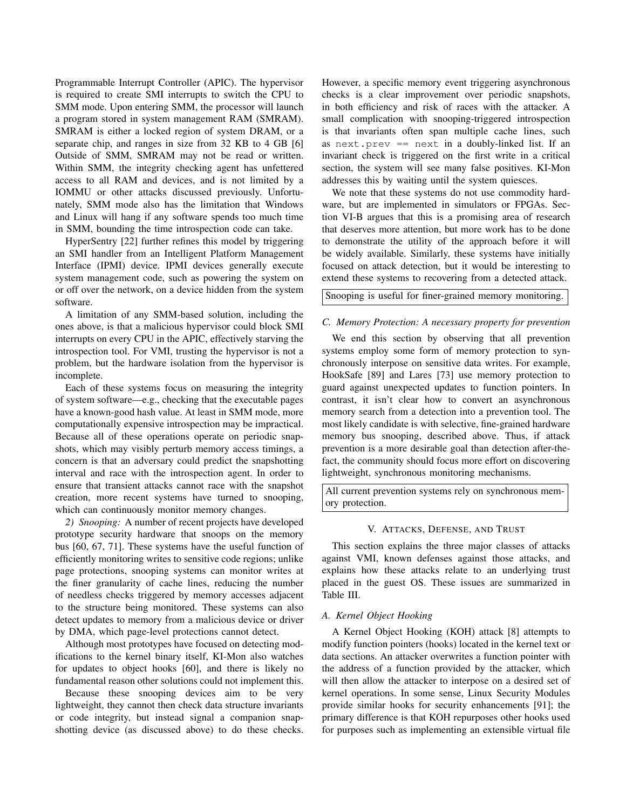Programmable Interrupt Controller (APIC). The hypervisor is required to create SMI interrupts to switch the CPU to SMM mode. Upon entering SMM, the processor will launch a program stored in system management RAM (SMRAM). SMRAM is either a locked region of system DRAM, or a separate chip, and ranges in size from 32 KB to 4 GB [6] Outside of SMM, SMRAM may not be read or written. Within SMM, the integrity checking agent has unfettered access to all RAM and devices, and is not limited by a IOMMU or other attacks discussed previously. Unfortunately, SMM mode also has the limitation that Windows and Linux will hang if any software spends too much time in SMM, bounding the time introspection code can take.

HyperSentry [22] further refines this model by triggering an SMI handler from an Intelligent Platform Management Interface (IPMI) device. IPMI devices generally execute system management code, such as powering the system on or off over the network, on a device hidden from the system software.

A limitation of any SMM-based solution, including the ones above, is that a malicious hypervisor could block SMI interrupts on every CPU in the APIC, effectively starving the introspection tool. For VMI, trusting the hypervisor is not a problem, but the hardware isolation from the hypervisor is incomplete.

Each of these systems focus on measuring the integrity of system software—e.g., checking that the executable pages have a known-good hash value. At least in SMM mode, more computationally expensive introspection may be impractical. Because all of these operations operate on periodic snapshots, which may visibly perturb memory access timings, a concern is that an adversary could predict the snapshotting interval and race with the introspection agent. In order to ensure that transient attacks cannot race with the snapshot creation, more recent systems have turned to snooping, which can continuously monitor memory changes.

*2) Snooping:* A number of recent projects have developed prototype security hardware that snoops on the memory bus [60, 67, 71]. These systems have the useful function of efficiently monitoring writes to sensitive code regions; unlike page protections, snooping systems can monitor writes at the finer granularity of cache lines, reducing the number of needless checks triggered by memory accesses adjacent to the structure being monitored. These systems can also detect updates to memory from a malicious device or driver by DMA, which page-level protections cannot detect.

Although most prototypes have focused on detecting modifications to the kernel binary itself, KI-Mon also watches for updates to object hooks [60], and there is likely no fundamental reason other solutions could not implement this.

Because these snooping devices aim to be very lightweight, they cannot then check data structure invariants or code integrity, but instead signal a companion snapshotting device (as discussed above) to do these checks. However, a specific memory event triggering asynchronous checks is a clear improvement over periodic snapshots, in both efficiency and risk of races with the attacker. A small complication with snooping-triggered introspection is that invariants often span multiple cache lines, such as  $next.prev == next in a doubly-linked list. If an$ invariant check is triggered on the first write in a critical section, the system will see many false positives. KI-Mon addresses this by waiting until the system quiesces.

We note that these systems do not use commodity hardware, but are implemented in simulators or FPGAs. Section VI-B argues that this is a promising area of research that deserves more attention, but more work has to be done to demonstrate the utility of the approach before it will be widely available. Similarly, these systems have initially focused on attack detection, but it would be interesting to extend these systems to recovering from a detected attack.

Snooping is useful for finer-grained memory monitoring.

# *C. Memory Protection: A necessary property for prevention*

We end this section by observing that all prevention systems employ some form of memory protection to synchronously interpose on sensitive data writes. For example, HookSafe [89] and Lares [73] use memory protection to guard against unexpected updates to function pointers. In contrast, it isn't clear how to convert an asynchronous memory search from a detection into a prevention tool. The most likely candidate is with selective, fine-grained hardware memory bus snooping, described above. Thus, if attack prevention is a more desirable goal than detection after-thefact, the community should focus more effort on discovering lightweight, synchronous monitoring mechanisms.

All current prevention systems rely on synchronous memory protection.

# V. ATTACKS, DEFENSE, AND TRUST

This section explains the three major classes of attacks against VMI, known defenses against those attacks, and explains how these attacks relate to an underlying trust placed in the guest OS. These issues are summarized in Table III.

# *A. Kernel Object Hooking*

A Kernel Object Hooking (KOH) attack [8] attempts to modify function pointers (hooks) located in the kernel text or data sections. An attacker overwrites a function pointer with the address of a function provided by the attacker, which will then allow the attacker to interpose on a desired set of kernel operations. In some sense, Linux Security Modules provide similar hooks for security enhancements [91]; the primary difference is that KOH repurposes other hooks used for purposes such as implementing an extensible virtual file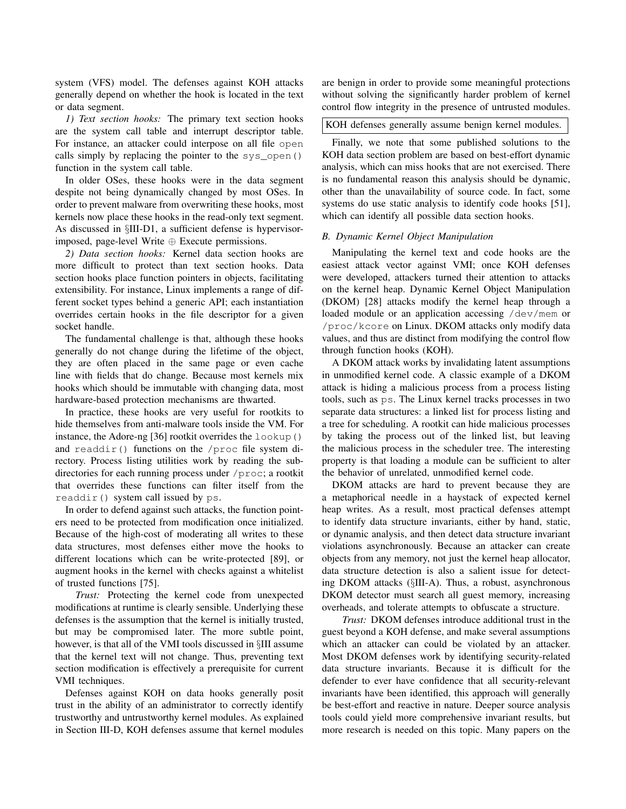system (VFS) model. The defenses against KOH attacks generally depend on whether the hook is located in the text or data segment.

*1) Text section hooks:* The primary text section hooks are the system call table and interrupt descriptor table. For instance, an attacker could interpose on all file open calls simply by replacing the pointer to the sys\_open() function in the system call table.

In older OSes, these hooks were in the data segment despite not being dynamically changed by most OSes. In order to prevent malware from overwriting these hooks, most kernels now place these hooks in the read-only text segment. As discussed in §III-D1, a sufficient defense is hypervisorimposed, page-level Write ⊕ Execute permissions.

*2) Data section hooks:* Kernel data section hooks are more difficult to protect than text section hooks. Data section hooks place function pointers in objects, facilitating extensibility. For instance, Linux implements a range of different socket types behind a generic API; each instantiation overrides certain hooks in the file descriptor for a given socket handle.

The fundamental challenge is that, although these hooks generally do not change during the lifetime of the object, they are often placed in the same page or even cache line with fields that do change. Because most kernels mix hooks which should be immutable with changing data, most hardware-based protection mechanisms are thwarted.

In practice, these hooks are very useful for rootkits to hide themselves from anti-malware tools inside the VM. For instance, the Adore-ng [36] rootkit overrides the lookup() and readdir() functions on the /proc file system directory. Process listing utilities work by reading the subdirectories for each running process under /proc; a rootkit that overrides these functions can filter itself from the readdir() system call issued by ps.

In order to defend against such attacks, the function pointers need to be protected from modification once initialized. Because of the high-cost of moderating all writes to these data structures, most defenses either move the hooks to different locations which can be write-protected [89], or augment hooks in the kernel with checks against a whitelist of trusted functions [75].

*Trust:* Protecting the kernel code from unexpected modifications at runtime is clearly sensible. Underlying these defenses is the assumption that the kernel is initially trusted, but may be compromised later. The more subtle point, however, is that all of the VMI tools discussed in §III assume that the kernel text will not change. Thus, preventing text section modification is effectively a prerequisite for current VMI techniques.

Defenses against KOH on data hooks generally posit trust in the ability of an administrator to correctly identify trustworthy and untrustworthy kernel modules. As explained in Section III-D, KOH defenses assume that kernel modules are benign in order to provide some meaningful protections without solving the significantly harder problem of kernel control flow integrity in the presence of untrusted modules.

# KOH defenses generally assume benign kernel modules.

Finally, we note that some published solutions to the KOH data section problem are based on best-effort dynamic analysis, which can miss hooks that are not exercised. There is no fundamental reason this analysis should be dynamic, other than the unavailability of source code. In fact, some systems do use static analysis to identify code hooks [51], which can identify all possible data section hooks.

# *B. Dynamic Kernel Object Manipulation*

Manipulating the kernel text and code hooks are the easiest attack vector against VMI; once KOH defenses were developed, attackers turned their attention to attacks on the kernel heap. Dynamic Kernel Object Manipulation (DKOM) [28] attacks modify the kernel heap through a loaded module or an application accessing /dev/mem or /proc/kcore on Linux. DKOM attacks only modify data values, and thus are distinct from modifying the control flow through function hooks (KOH).

A DKOM attack works by invalidating latent assumptions in unmodified kernel code. A classic example of a DKOM attack is hiding a malicious process from a process listing tools, such as ps. The Linux kernel tracks processes in two separate data structures: a linked list for process listing and a tree for scheduling. A rootkit can hide malicious processes by taking the process out of the linked list, but leaving the malicious process in the scheduler tree. The interesting property is that loading a module can be sufficient to alter the behavior of unrelated, unmodified kernel code.

DKOM attacks are hard to prevent because they are a metaphorical needle in a haystack of expected kernel heap writes. As a result, most practical defenses attempt to identify data structure invariants, either by hand, static, or dynamic analysis, and then detect data structure invariant violations asynchronously. Because an attacker can create objects from any memory, not just the kernel heap allocator, data structure detection is also a salient issue for detecting DKOM attacks (§III-A). Thus, a robust, asynchronous DKOM detector must search all guest memory, increasing overheads, and tolerate attempts to obfuscate a structure.

*Trust:* DKOM defenses introduce additional trust in the guest beyond a KOH defense, and make several assumptions which an attacker can could be violated by an attacker. Most DKOM defenses work by identifying security-related data structure invariants. Because it is difficult for the defender to ever have confidence that all security-relevant invariants have been identified, this approach will generally be best-effort and reactive in nature. Deeper source analysis tools could yield more comprehensive invariant results, but more research is needed on this topic. Many papers on the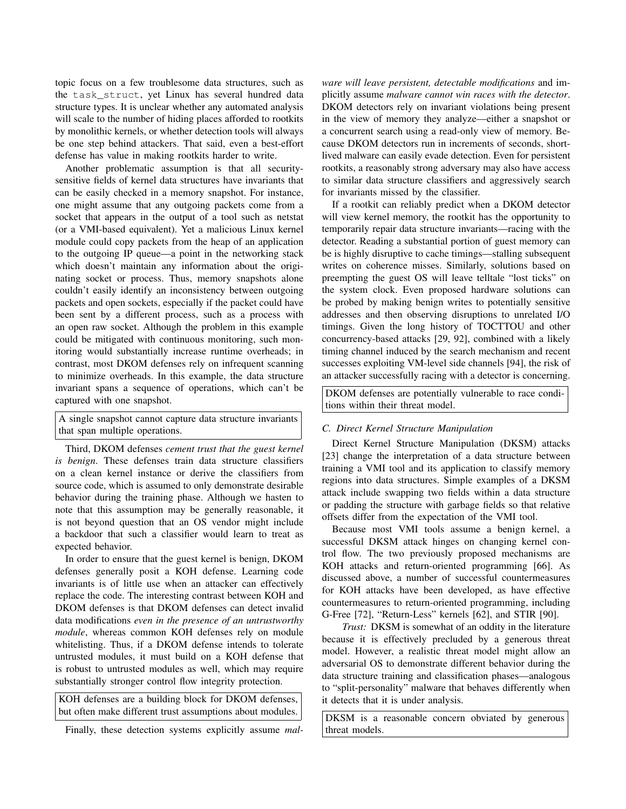topic focus on a few troublesome data structures, such as the task\_struct, yet Linux has several hundred data structure types. It is unclear whether any automated analysis will scale to the number of hiding places afforded to rootkits by monolithic kernels, or whether detection tools will always be one step behind attackers. That said, even a best-effort defense has value in making rootkits harder to write.

Another problematic assumption is that all securitysensitive fields of kernel data structures have invariants that can be easily checked in a memory snapshot. For instance, one might assume that any outgoing packets come from a socket that appears in the output of a tool such as netstat (or a VMI-based equivalent). Yet a malicious Linux kernel module could copy packets from the heap of an application to the outgoing IP queue—a point in the networking stack which doesn't maintain any information about the originating socket or process. Thus, memory snapshots alone couldn't easily identify an inconsistency between outgoing packets and open sockets, especially if the packet could have been sent by a different process, such as a process with an open raw socket. Although the problem in this example could be mitigated with continuous monitoring, such monitoring would substantially increase runtime overheads; in contrast, most DKOM defenses rely on infrequent scanning to minimize overheads. In this example, the data structure invariant spans a sequence of operations, which can't be captured with one snapshot.

A single snapshot cannot capture data structure invariants that span multiple operations.

Third, DKOM defenses *cement trust that the guest kernel is benign*. These defenses train data structure classifiers on a clean kernel instance or derive the classifiers from source code, which is assumed to only demonstrate desirable behavior during the training phase. Although we hasten to note that this assumption may be generally reasonable, it is not beyond question that an OS vendor might include a backdoor that such a classifier would learn to treat as expected behavior.

In order to ensure that the guest kernel is benign, DKOM defenses generally posit a KOH defense. Learning code invariants is of little use when an attacker can effectively replace the code. The interesting contrast between KOH and DKOM defenses is that DKOM defenses can detect invalid data modifications *even in the presence of an untrustworthy module*, whereas common KOH defenses rely on module whitelisting. Thus, if a DKOM defense intends to tolerate untrusted modules, it must build on a KOH defense that is robust to untrusted modules as well, which may require substantially stronger control flow integrity protection.

KOH defenses are a building block for DKOM defenses, but often make different trust assumptions about modules.

Finally, these detection systems explicitly assume *mal-*

*ware will leave persistent, detectable modifications* and implicitly assume *malware cannot win races with the detector*. DKOM detectors rely on invariant violations being present in the view of memory they analyze—either a snapshot or a concurrent search using a read-only view of memory. Because DKOM detectors run in increments of seconds, shortlived malware can easily evade detection. Even for persistent rootkits, a reasonably strong adversary may also have access to similar data structure classifiers and aggressively search for invariants missed by the classifier.

If a rootkit can reliably predict when a DKOM detector will view kernel memory, the rootkit has the opportunity to temporarily repair data structure invariants—racing with the detector. Reading a substantial portion of guest memory can be is highly disruptive to cache timings—stalling subsequent writes on coherence misses. Similarly, solutions based on preempting the guest OS will leave telltale "lost ticks" on the system clock. Even proposed hardware solutions can be probed by making benign writes to potentially sensitive addresses and then observing disruptions to unrelated I/O timings. Given the long history of TOCTTOU and other concurrency-based attacks [29, 92], combined with a likely timing channel induced by the search mechanism and recent successes exploiting VM-level side channels [94], the risk of an attacker successfully racing with a detector is concerning.

DKOM defenses are potentially vulnerable to race conditions within their threat model.

# *C. Direct Kernel Structure Manipulation*

Direct Kernel Structure Manipulation (DKSM) attacks [23] change the interpretation of a data structure between training a VMI tool and its application to classify memory regions into data structures. Simple examples of a DKSM attack include swapping two fields within a data structure or padding the structure with garbage fields so that relative offsets differ from the expectation of the VMI tool.

Because most VMI tools assume a benign kernel, a successful DKSM attack hinges on changing kernel control flow. The two previously proposed mechanisms are KOH attacks and return-oriented programming [66]. As discussed above, a number of successful countermeasures for KOH attacks have been developed, as have effective countermeasures to return-oriented programming, including G-Free [72], "Return-Less" kernels [62], and STIR [90].

*Trust:* DKSM is somewhat of an oddity in the literature because it is effectively precluded by a generous threat model. However, a realistic threat model might allow an adversarial OS to demonstrate different behavior during the data structure training and classification phases—analogous to "split-personality" malware that behaves differently when it detects that it is under analysis.

DKSM is a reasonable concern obviated by generous threat models.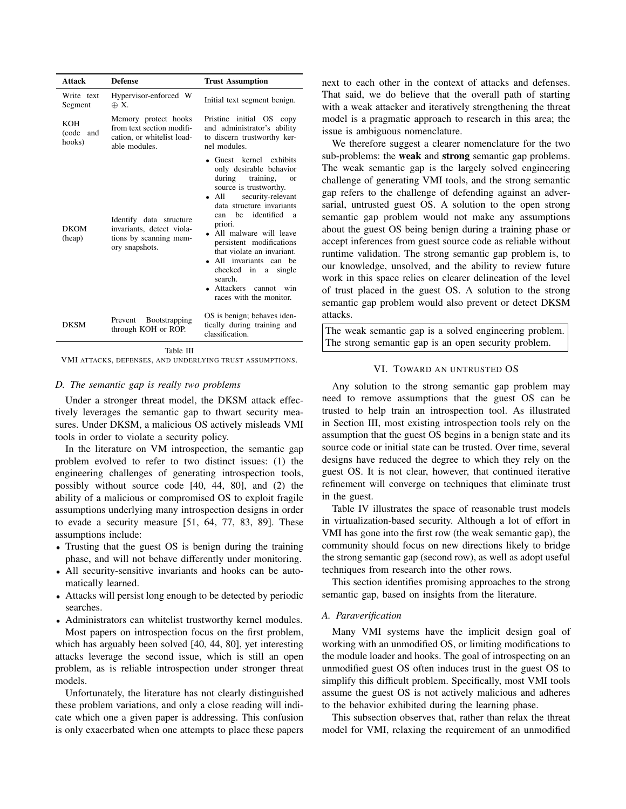| <b>Attack</b>                        | <b>Defense</b>                                                                                   | <b>Trust Assumption</b>                                                                                                                                                                                                                                                                                                                                                                                             |  |  |  |
|--------------------------------------|--------------------------------------------------------------------------------------------------|---------------------------------------------------------------------------------------------------------------------------------------------------------------------------------------------------------------------------------------------------------------------------------------------------------------------------------------------------------------------------------------------------------------------|--|--|--|
| Write text<br>Segment                | Hypervisor-enforced W<br>$\oplus X.$                                                             | Initial text segment benign.                                                                                                                                                                                                                                                                                                                                                                                        |  |  |  |
| <b>KOH</b><br>(code<br>and<br>hooks) | Memory protect hooks<br>from text section modifi-<br>cation, or whitelist load-<br>able modules. | Pristine<br>initial OS copy<br>and administrator's ability<br>to discern trustworthy ker-<br>nel modules.                                                                                                                                                                                                                                                                                                           |  |  |  |
| <b>DKOM</b><br>(heap)                | Identify data structure<br>invariants, detect viola-<br>tions by scanning mem-<br>ory snapshots. | • Guest kernel exhibits<br>only desirable behavior<br>during<br>training,<br><b>or</b><br>source is trustworthy.<br>• All security-relevant<br>data structure invariants<br>can be identified a<br>priori.<br>• All malware will leave<br>persistent modifications<br>that violate an invariant.<br>• All invariants can be<br>checked in a<br>single<br>search.<br>Attackers cannot win<br>races with the monitor. |  |  |  |
| <b>DKSM</b>                          | <b>Bootstrapping</b><br>Prevent<br>through KOH or ROP.                                           | OS is benign; behaves iden-<br>tically during training and<br>classification.                                                                                                                                                                                                                                                                                                                                       |  |  |  |
|                                      | Table III                                                                                        |                                                                                                                                                                                                                                                                                                                                                                                                                     |  |  |  |

VMI ATTACKS, DEFENSES, AND UNDERLYING TRUST ASSUMPTIONS.

### *D. The semantic gap is really two problems*

Under a stronger threat model, the DKSM attack effectively leverages the semantic gap to thwart security measures. Under DKSM, a malicious OS actively misleads VMI tools in order to violate a security policy.

In the literature on VM introspection, the semantic gap problem evolved to refer to two distinct issues: (1) the engineering challenges of generating introspection tools, possibly without source code [40, 44, 80], and (2) the ability of a malicious or compromised OS to exploit fragile assumptions underlying many introspection designs in order to evade a security measure [51, 64, 77, 83, 89]. These assumptions include:

- Trusting that the guest OS is benign during the training phase, and will not behave differently under monitoring.
- All security-sensitive invariants and hooks can be automatically learned.
- Attacks will persist long enough to be detected by periodic searches.
- Administrators can whitelist trustworthy kernel modules.

Most papers on introspection focus on the first problem, which has arguably been solved [40, 44, 80], yet interesting attacks leverage the second issue, which is still an open problem, as is reliable introspection under stronger threat models.

Unfortunately, the literature has not clearly distinguished these problem variations, and only a close reading will indicate which one a given paper is addressing. This confusion is only exacerbated when one attempts to place these papers next to each other in the context of attacks and defenses. That said, we do believe that the overall path of starting with a weak attacker and iteratively strengthening the threat model is a pragmatic approach to research in this area; the issue is ambiguous nomenclature.

We therefore suggest a clearer nomenclature for the two sub-problems: the **weak** and **strong** semantic gap problems. The weak semantic gap is the largely solved engineering challenge of generating VMI tools, and the strong semantic gap refers to the challenge of defending against an adversarial, untrusted guest OS. A solution to the open strong semantic gap problem would not make any assumptions about the guest OS being benign during a training phase or accept inferences from guest source code as reliable without runtime validation. The strong semantic gap problem is, to our knowledge, unsolved, and the ability to review future work in this space relies on clearer delineation of the level of trust placed in the guest OS. A solution to the strong semantic gap problem would also prevent or detect DKSM attacks.

The weak semantic gap is a solved engineering problem. The strong semantic gap is an open security problem.

### VI. TOWARD AN UNTRUSTED OS

Any solution to the strong semantic gap problem may need to remove assumptions that the guest OS can be trusted to help train an introspection tool. As illustrated in Section III, most existing introspection tools rely on the assumption that the guest OS begins in a benign state and its source code or initial state can be trusted. Over time, several designs have reduced the degree to which they rely on the guest OS. It is not clear, however, that continued iterative refinement will converge on techniques that eliminate trust in the guest.

Table IV illustrates the space of reasonable trust models in virtualization-based security. Although a lot of effort in VMI has gone into the first row (the weak semantic gap), the community should focus on new directions likely to bridge the strong semantic gap (second row), as well as adopt useful techniques from research into the other rows.

This section identifies promising approaches to the strong semantic gap, based on insights from the literature.

# *A. Paraverification*

Many VMI systems have the implicit design goal of working with an unmodified OS, or limiting modifications to the module loader and hooks. The goal of introspecting on an unmodified guest OS often induces trust in the guest OS to simplify this difficult problem. Specifically, most VMI tools assume the guest OS is not actively malicious and adheres to the behavior exhibited during the learning phase.

This subsection observes that, rather than relax the threat model for VMI, relaxing the requirement of an unmodified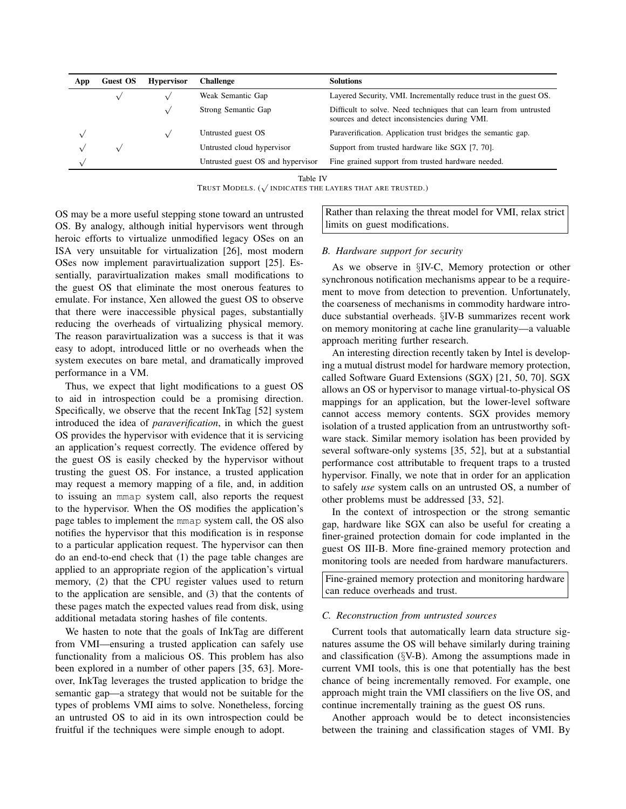| App | <b>Guest OS</b> | <b>Hypervisor</b> | <b>Challenge</b>                  | <b>Solutions</b>                                                                                                    |
|-----|-----------------|-------------------|-----------------------------------|---------------------------------------------------------------------------------------------------------------------|
|     |                 |                   | Weak Semantic Gap                 | Layered Security, VMI. Incrementally reduce trust in the guest OS.                                                  |
|     |                 |                   | Strong Semantic Gap               | Difficult to solve. Need techniques that can learn from untrusted<br>sources and detect inconsistencies during VMI. |
|     |                 |                   | Untrusted guest OS                | Paraverification. Application trust bridges the semantic gap.                                                       |
|     |                 |                   | Untrusted cloud hypervisor        | Support from trusted hardware like SGX [7, 70].                                                                     |
|     |                 |                   | Untrusted guest OS and hypervisor | Fine grained support from trusted hardware needed.                                                                  |

Table IV

<sup>T</sup>RUST <sup>M</sup>ODELS. (<sup>√</sup> INDICATES THE LAYERS THAT ARE TRUSTED.)

OS may be a more useful stepping stone toward an untrusted OS. By analogy, although initial hypervisors went through heroic efforts to virtualize unmodified legacy OSes on an ISA very unsuitable for virtualization [26], most modern OSes now implement paravirtualization support [25]. Essentially, paravirtualization makes small modifications to the guest OS that eliminate the most onerous features to emulate. For instance, Xen allowed the guest OS to observe that there were inaccessible physical pages, substantially reducing the overheads of virtualizing physical memory. The reason paravirtualization was a success is that it was easy to adopt, introduced little or no overheads when the system executes on bare metal, and dramatically improved performance in a VM.

Thus, we expect that light modifications to a guest OS to aid in introspection could be a promising direction. Specifically, we observe that the recent InkTag [52] system introduced the idea of *paraverification*, in which the guest OS provides the hypervisor with evidence that it is servicing an application's request correctly. The evidence offered by the guest OS is easily checked by the hypervisor without trusting the guest OS. For instance, a trusted application may request a memory mapping of a file, and, in addition to issuing an mmap system call, also reports the request to the hypervisor. When the OS modifies the application's page tables to implement the mmap system call, the OS also notifies the hypervisor that this modification is in response to a particular application request. The hypervisor can then do an end-to-end check that (1) the page table changes are applied to an appropriate region of the application's virtual memory, (2) that the CPU register values used to return to the application are sensible, and (3) that the contents of these pages match the expected values read from disk, using additional metadata storing hashes of file contents.

We hasten to note that the goals of InkTag are different from VMI—ensuring a trusted application can safely use functionality from a malicious OS. This problem has also been explored in a number of other papers [35, 63]. Moreover, InkTag leverages the trusted application to bridge the semantic gap—a strategy that would not be suitable for the types of problems VMI aims to solve. Nonetheless, forcing an untrusted OS to aid in its own introspection could be fruitful if the techniques were simple enough to adopt.

Rather than relaxing the threat model for VMI, relax strict limits on guest modifications.

# *B. Hardware support for security*

As we observe in §IV-C, Memory protection or other synchronous notification mechanisms appear to be a requirement to move from detection to prevention. Unfortunately, the coarseness of mechanisms in commodity hardware introduce substantial overheads. §IV-B summarizes recent work on memory monitoring at cache line granularity—a valuable approach meriting further research.

An interesting direction recently taken by Intel is developing a mutual distrust model for hardware memory protection, called Software Guard Extensions (SGX) [21, 50, 70]. SGX allows an OS or hypervisor to manage virtual-to-physical OS mappings for an application, but the lower-level software cannot access memory contents. SGX provides memory isolation of a trusted application from an untrustworthy software stack. Similar memory isolation has been provided by several software-only systems [35, 52], but at a substantial performance cost attributable to frequent traps to a trusted hypervisor. Finally, we note that in order for an application to safely *use* system calls on an untrusted OS, a number of other problems must be addressed [33, 52].

In the context of introspection or the strong semantic gap, hardware like SGX can also be useful for creating a finer-grained protection domain for code implanted in the guest OS III-B. More fine-grained memory protection and monitoring tools are needed from hardware manufacturers.

Fine-grained memory protection and monitoring hardware can reduce overheads and trust.

### *C. Reconstruction from untrusted sources*

Current tools that automatically learn data structure signatures assume the OS will behave similarly during training and classification (§V-B). Among the assumptions made in current VMI tools, this is one that potentially has the best chance of being incrementally removed. For example, one approach might train the VMI classifiers on the live OS, and continue incrementally training as the guest OS runs.

Another approach would be to detect inconsistencies between the training and classification stages of VMI. By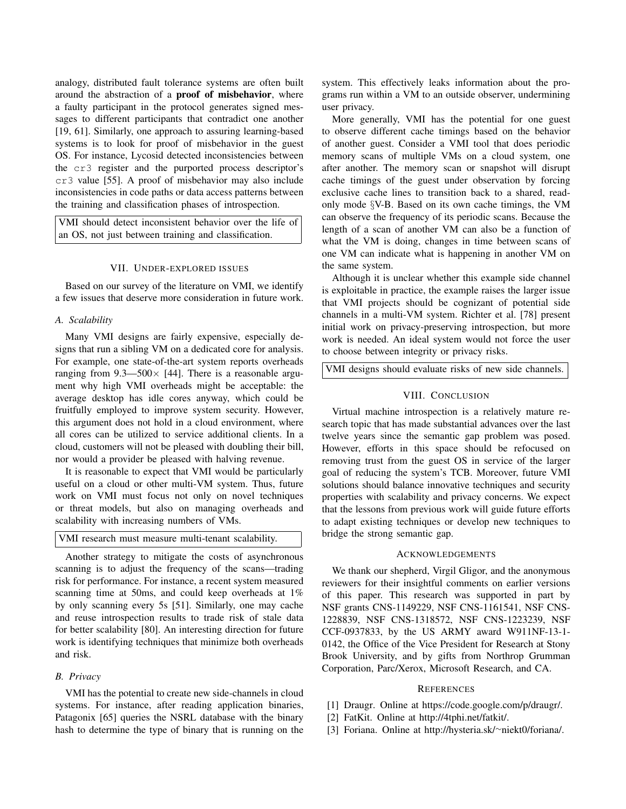analogy, distributed fault tolerance systems are often built around the abstraction of a proof of misbehavior, where a faulty participant in the protocol generates signed messages to different participants that contradict one another [19, 61]. Similarly, one approach to assuring learning-based systems is to look for proof of misbehavior in the guest OS. For instance, Lycosid detected inconsistencies between the cr3 register and the purported process descriptor's cr3 value [55]. A proof of misbehavior may also include inconsistencies in code paths or data access patterns between the training and classification phases of introspection.

VMI should detect inconsistent behavior over the life of an OS, not just between training and classification.

#### VII. UNDER-EXPLORED ISSUES

Based on our survey of the literature on VMI, we identify a few issues that deserve more consideration in future work.

# *A. Scalability*

Many VMI designs are fairly expensive, especially designs that run a sibling VM on a dedicated core for analysis. For example, one state-of-the-art system reports overheads ranging from  $9.3 - 500 \times 44$ . There is a reasonable argument why high VMI overheads might be acceptable: the average desktop has idle cores anyway, which could be fruitfully employed to improve system security. However, this argument does not hold in a cloud environment, where all cores can be utilized to service additional clients. In a cloud, customers will not be pleased with doubling their bill, nor would a provider be pleased with halving revenue.

It is reasonable to expect that VMI would be particularly useful on a cloud or other multi-VM system. Thus, future work on VMI must focus not only on novel techniques or threat models, but also on managing overheads and scalability with increasing numbers of VMs.

| VMI research must measure multi-tenant scalability. |  |
|-----------------------------------------------------|--|
|-----------------------------------------------------|--|

Another strategy to mitigate the costs of asynchronous scanning is to adjust the frequency of the scans—trading risk for performance. For instance, a recent system measured scanning time at 50ms, and could keep overheads at 1% by only scanning every 5s [51]. Similarly, one may cache and reuse introspection results to trade risk of stale data for better scalability [80]. An interesting direction for future work is identifying techniques that minimize both overheads and risk.

# *B. Privacy*

VMI has the potential to create new side-channels in cloud systems. For instance, after reading application binaries, Patagonix [65] queries the NSRL database with the binary hash to determine the type of binary that is running on the system. This effectively leaks information about the programs run within a VM to an outside observer, undermining user privacy.

More generally, VMI has the potential for one guest to observe different cache timings based on the behavior of another guest. Consider a VMI tool that does periodic memory scans of multiple VMs on a cloud system, one after another. The memory scan or snapshot will disrupt cache timings of the guest under observation by forcing exclusive cache lines to transition back to a shared, readonly mode §V-B. Based on its own cache timings, the VM can observe the frequency of its periodic scans. Because the length of a scan of another VM can also be a function of what the VM is doing, changes in time between scans of one VM can indicate what is happening in another VM on the same system.

Although it is unclear whether this example side channel is exploitable in practice, the example raises the larger issue that VMI projects should be cognizant of potential side channels in a multi-VM system. Richter et al. [78] present initial work on privacy-preserving introspection, but more work is needed. An ideal system would not force the user to choose between integrity or privacy risks.

| VMI designs should evaluate risks of new side channels. |  |  |  |  |  |  |  |
|---------------------------------------------------------|--|--|--|--|--|--|--|
|---------------------------------------------------------|--|--|--|--|--|--|--|

# VIII. CONCLUSION

Virtual machine introspection is a relatively mature research topic that has made substantial advances over the last twelve years since the semantic gap problem was posed. However, efforts in this space should be refocused on removing trust from the guest OS in service of the larger goal of reducing the system's TCB. Moreover, future VMI solutions should balance innovative techniques and security properties with scalability and privacy concerns. We expect that the lessons from previous work will guide future efforts to adapt existing techniques or develop new techniques to bridge the strong semantic gap.

#### ACKNOWLEDGEMENTS

We thank our shepherd, Virgil Gligor, and the anonymous reviewers for their insightful comments on earlier versions of this paper. This research was supported in part by NSF grants CNS-1149229, NSF CNS-1161541, NSF CNS-1228839, NSF CNS-1318572, NSF CNS-1223239, NSF CCF-0937833, by the US ARMY award W911NF-13-1- 0142, the Office of the Vice President for Research at Stony Brook University, and by gifts from Northrop Grumman Corporation, Parc/Xerox, Microsoft Research, and CA.

#### **REFERENCES**

- [1] Draugr. Online at https://code.google.com/p/draugr/.
- [2] FatKit. Online at http://4tphi.net/fatkit/.
- [3] Foriana. Online at http://hysteria.sk/<sup>∼</sup>niekt0/foriana/.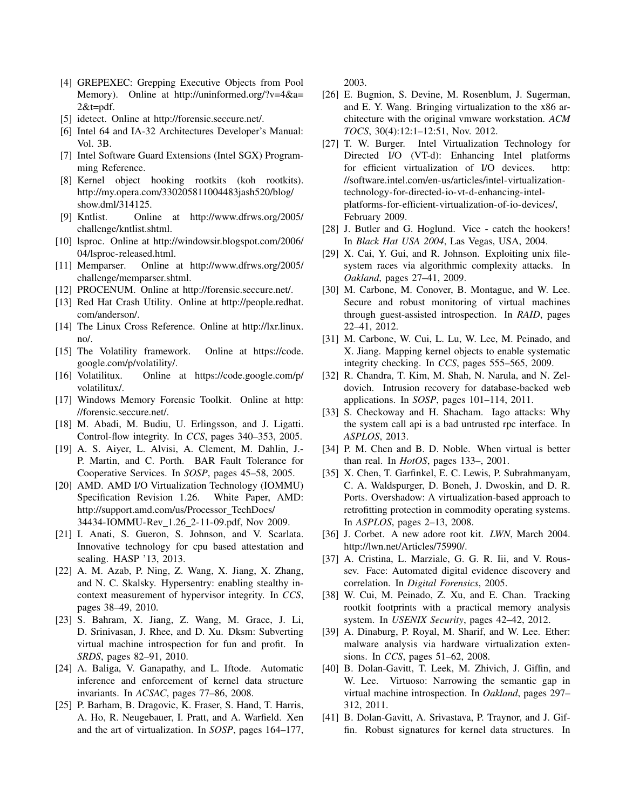- [4] GREPEXEC: Grepping Executive Objects from Pool Memory). Online at http://uninformed.org/?v=4&a=  $2&t=pdf.$
- [5] idetect. Online at http://forensic.seccure.net/.
- [6] Intel 64 and IA-32 Architectures Developer's Manual: Vol. 3B.
- [7] Intel Software Guard Extensions (Intel SGX) Programming Reference.
- [8] Kernel object hooking rootkits (koh rootkits). http://my.opera.com/330205811004483jash520/blog/ show.dml/314125.
- [9] Kntlist. Online at http://www.dfrws.org/2005/ challenge/kntlist.shtml.
- [10] lsproc. Online at http://windowsir.blogspot.com/2006/ 04/lsproc-released.html.
- [11] Memparser. Online at http://www.dfrws.org/2005/ challenge/memparser.shtml.
- [12] PROCENUM. Online at http://forensic.seccure.net/.
- [13] Red Hat Crash Utility. Online at http://people.redhat. com/anderson/.
- [14] The Linux Cross Reference. Online at http://lxr.linux. no/.
- [15] The Volatility framework. Online at https://code. google.com/p/volatility/.
- [16] Volatilitux. Online at https://code.google.com/p/ volatilitux/.
- [17] Windows Memory Forensic Toolkit. Online at http: //forensic.seccure.net/.
- [18] M. Abadi, M. Budiu, U. Erlingsson, and J. Ligatti. Control-flow integrity. In *CCS*, pages 340–353, 2005.
- [19] A. S. Aiyer, L. Alvisi, A. Clement, M. Dahlin, J.- P. Martin, and C. Porth. BAR Fault Tolerance for Cooperative Services. In *SOSP*, pages 45–58, 2005.
- [20] AMD. AMD I/O Virtualization Technology (IOMMU) Specification Revision 1.26. White Paper, AMD: http://support.amd.com/us/Processor TechDocs/ 34434-IOMMU-Rev 1.26 2-11-09.pdf, Nov 2009.
- [21] I. Anati, S. Gueron, S. Johnson, and V. Scarlata. Innovative technology for cpu based attestation and sealing. HASP '13, 2013.
- [22] A. M. Azab, P. Ning, Z. Wang, X. Jiang, X. Zhang, and N. C. Skalsky. Hypersentry: enabling stealthy incontext measurement of hypervisor integrity. In *CCS*, pages 38–49, 2010.
- [23] S. Bahram, X. Jiang, Z. Wang, M. Grace, J. Li, D. Srinivasan, J. Rhee, and D. Xu. Dksm: Subverting virtual machine introspection for fun and profit. In *SRDS*, pages 82–91, 2010.
- [24] A. Baliga, V. Ganapathy, and L. Iftode. Automatic inference and enforcement of kernel data structure invariants. In *ACSAC*, pages 77–86, 2008.
- [25] P. Barham, B. Dragovic, K. Fraser, S. Hand, T. Harris, A. Ho, R. Neugebauer, I. Pratt, and A. Warfield. Xen and the art of virtualization. In *SOSP*, pages 164–177,

2003.

- [26] E. Bugnion, S. Devine, M. Rosenblum, J. Sugerman, and E. Y. Wang. Bringing virtualization to the x86 architecture with the original vmware workstation. *ACM TOCS*, 30(4):12:1–12:51, Nov. 2012.
- [27] T. W. Burger. Intel Virtualization Technology for Directed I/O (VT-d): Enhancing Intel platforms for efficient virtualization of I/O devices. http: //software.intel.com/en-us/articles/intel-virtualizationtechnology-for-directed-io-vt-d-enhancing-intelplatforms-for-efficient-virtualization-of-io-devices/, February 2009.
- [28] J. Butler and G. Hoglund. Vice catch the hookers! In *Black Hat USA 2004*, Las Vegas, USA, 2004.
- [29] X. Cai, Y. Gui, and R. Johnson. Exploiting unix filesystem races via algorithmic complexity attacks. In *Oakland*, pages 27–41, 2009.
- [30] M. Carbone, M. Conover, B. Montague, and W. Lee. Secure and robust monitoring of virtual machines through guest-assisted introspection. In *RAID*, pages 22–41, 2012.
- [31] M. Carbone, W. Cui, L. Lu, W. Lee, M. Peinado, and X. Jiang. Mapping kernel objects to enable systematic integrity checking. In *CCS*, pages 555–565, 2009.
- [32] R. Chandra, T. Kim, M. Shah, N. Narula, and N. Zeldovich. Intrusion recovery for database-backed web applications. In *SOSP*, pages 101–114, 2011.
- [33] S. Checkoway and H. Shacham. Iago attacks: Why the system call api is a bad untrusted rpc interface. In *ASPLOS*, 2013.
- [34] P. M. Chen and B. D. Noble. When virtual is better than real. In *HotOS*, pages 133–, 2001.
- [35] X. Chen, T. Garfinkel, E. C. Lewis, P. Subrahmanyam, C. A. Waldspurger, D. Boneh, J. Dwoskin, and D. R. Ports. Overshadow: A virtualization-based approach to retrofitting protection in commodity operating systems. In *ASPLOS*, pages 2–13, 2008.
- [36] J. Corbet. A new adore root kit. *LWN*, March 2004. http://lwn.net/Articles/75990/.
- [37] A. Cristina, L. Marziale, G. G. R. Iii, and V. Roussev. Face: Automated digital evidence discovery and correlation. In *Digital Forensics*, 2005.
- [38] W. Cui, M. Peinado, Z. Xu, and E. Chan. Tracking rootkit footprints with a practical memory analysis system. In *USENIX Security*, pages 42–42, 2012.
- [39] A. Dinaburg, P. Royal, M. Sharif, and W. Lee. Ether: malware analysis via hardware virtualization extensions. In *CCS*, pages 51–62, 2008.
- [40] B. Dolan-Gavitt, T. Leek, M. Zhivich, J. Giffin, and W. Lee. Virtuoso: Narrowing the semantic gap in virtual machine introspection. In *Oakland*, pages 297– 312, 2011.
- [41] B. Dolan-Gavitt, A. Srivastava, P. Traynor, and J. Giffin. Robust signatures for kernel data structures. In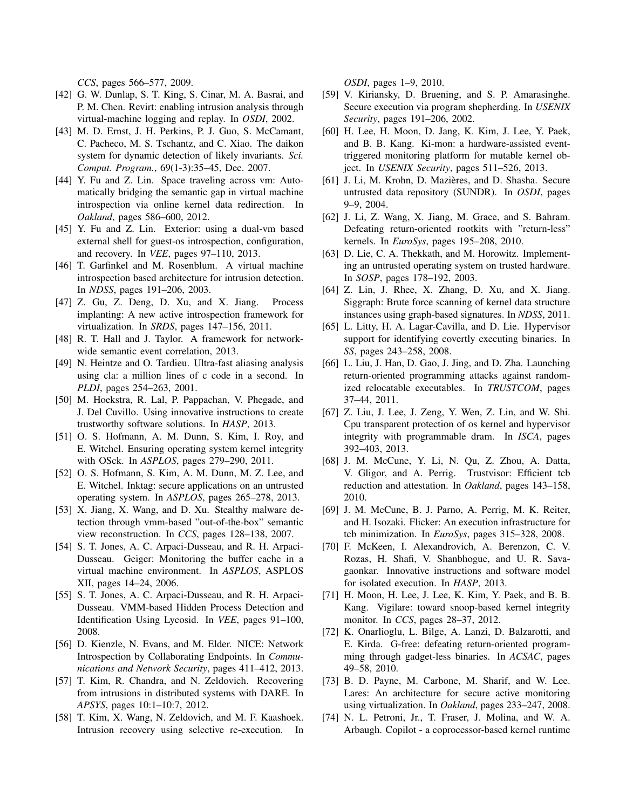*CCS*, pages 566–577, 2009.

- [42] G. W. Dunlap, S. T. King, S. Cinar, M. A. Basrai, and P. M. Chen. Revirt: enabling intrusion analysis through virtual-machine logging and replay. In *OSDI*, 2002.
- [43] M. D. Ernst, J. H. Perkins, P. J. Guo, S. McCamant, C. Pacheco, M. S. Tschantz, and C. Xiao. The daikon system for dynamic detection of likely invariants. *Sci. Comput. Program.*, 69(1-3):35–45, Dec. 2007.
- [44] Y. Fu and Z. Lin. Space traveling across vm: Automatically bridging the semantic gap in virtual machine introspection via online kernel data redirection. In *Oakland*, pages 586–600, 2012.
- [45] Y. Fu and Z. Lin. Exterior: using a dual-vm based external shell for guest-os introspection, configuration, and recovery. In *VEE*, pages 97–110, 2013.
- [46] T. Garfinkel and M. Rosenblum. A virtual machine introspection based architecture for intrusion detection. In *NDSS*, pages 191–206, 2003.
- [47] Z. Gu, Z. Deng, D. Xu, and X. Jiang. Process implanting: A new active introspection framework for virtualization. In *SRDS*, pages 147–156, 2011.
- [48] R. T. Hall and J. Taylor. A framework for networkwide semantic event correlation, 2013.
- [49] N. Heintze and O. Tardieu. Ultra-fast aliasing analysis using cla: a million lines of c code in a second. In *PLDI*, pages 254–263, 2001.
- [50] M. Hoekstra, R. Lal, P. Pappachan, V. Phegade, and J. Del Cuvillo. Using innovative instructions to create trustworthy software solutions. In *HASP*, 2013.
- [51] O. S. Hofmann, A. M. Dunn, S. Kim, I. Roy, and E. Witchel. Ensuring operating system kernel integrity with OSck. In *ASPLOS*, pages 279–290, 2011.
- [52] O. S. Hofmann, S. Kim, A. M. Dunn, M. Z. Lee, and E. Witchel. Inktag: secure applications on an untrusted operating system. In *ASPLOS*, pages 265–278, 2013.
- [53] X. Jiang, X. Wang, and D. Xu. Stealthy malware detection through vmm-based "out-of-the-box" semantic view reconstruction. In *CCS*, pages 128–138, 2007.
- [54] S. T. Jones, A. C. Arpaci-Dusseau, and R. H. Arpaci-Dusseau. Geiger: Monitoring the buffer cache in a virtual machine environment. In *ASPLOS*, ASPLOS XII, pages 14–24, 2006.
- [55] S. T. Jones, A. C. Arpaci-Dusseau, and R. H. Arpaci-Dusseau. VMM-based Hidden Process Detection and Identification Using Lycosid. In *VEE*, pages 91–100, 2008.
- [56] D. Kienzle, N. Evans, and M. Elder. NICE: Network Introspection by Collaborating Endpoints. In *Communications and Network Security*, pages 411–412, 2013.
- [57] T. Kim, R. Chandra, and N. Zeldovich. Recovering from intrusions in distributed systems with DARE. In *APSYS*, pages 10:1–10:7, 2012.
- [58] T. Kim, X. Wang, N. Zeldovich, and M. F. Kaashoek. Intrusion recovery using selective re-execution. In

*OSDI*, pages 1–9, 2010.

- [59] V. Kiriansky, D. Bruening, and S. P. Amarasinghe. Secure execution via program shepherding. In *USENIX Security*, pages 191–206, 2002.
- [60] H. Lee, H. Moon, D. Jang, K. Kim, J. Lee, Y. Paek, and B. B. Kang. Ki-mon: a hardware-assisted eventtriggered monitoring platform for mutable kernel object. In *USENIX Security*, pages 511–526, 2013.
- [61] J. Li, M. Krohn, D. Mazières, and D. Shasha. Secure untrusted data repository (SUNDR). In *OSDI*, pages 9–9, 2004.
- [62] J. Li, Z. Wang, X. Jiang, M. Grace, and S. Bahram. Defeating return-oriented rootkits with "return-less" kernels. In *EuroSys*, pages 195–208, 2010.
- [63] D. Lie, C. A. Thekkath, and M. Horowitz. Implementing an untrusted operating system on trusted hardware. In *SOSP*, pages 178–192, 2003.
- [64] Z. Lin, J. Rhee, X. Zhang, D. Xu, and X. Jiang. Siggraph: Brute force scanning of kernel data structure instances using graph-based signatures. In *NDSS*, 2011.
- [65] L. Litty, H. A. Lagar-Cavilla, and D. Lie. Hypervisor support for identifying covertly executing binaries. In *SS*, pages 243–258, 2008.
- [66] L. Liu, J. Han, D. Gao, J. Jing, and D. Zha. Launching return-oriented programming attacks against randomized relocatable executables. In *TRUSTCOM*, pages 37–44, 2011.
- [67] Z. Liu, J. Lee, J. Zeng, Y. Wen, Z. Lin, and W. Shi. Cpu transparent protection of os kernel and hypervisor integrity with programmable dram. In *ISCA*, pages 392–403, 2013.
- [68] J. M. McCune, Y. Li, N. Qu, Z. Zhou, A. Datta, V. Gligor, and A. Perrig. Trustvisor: Efficient tcb reduction and attestation. In *Oakland*, pages 143–158, 2010.
- [69] J. M. McCune, B. J. Parno, A. Perrig, M. K. Reiter, and H. Isozaki. Flicker: An execution infrastructure for tcb minimization. In *EuroSys*, pages 315–328, 2008.
- [70] F. McKeen, I. Alexandrovich, A. Berenzon, C. V. Rozas, H. Shafi, V. Shanbhogue, and U. R. Savagaonkar. Innovative instructions and software model for isolated execution. In *HASP*, 2013.
- [71] H. Moon, H. Lee, J. Lee, K. Kim, Y. Paek, and B. B. Kang. Vigilare: toward snoop-based kernel integrity monitor. In *CCS*, pages 28–37, 2012.
- [72] K. Onarlioglu, L. Bilge, A. Lanzi, D. Balzarotti, and E. Kirda. G-free: defeating return-oriented programming through gadget-less binaries. In *ACSAC*, pages 49–58, 2010.
- [73] B. D. Payne, M. Carbone, M. Sharif, and W. Lee. Lares: An architecture for secure active monitoring using virtualization. In *Oakland*, pages 233–247, 2008.
- [74] N. L. Petroni, Jr., T. Fraser, J. Molina, and W. A. Arbaugh. Copilot - a coprocessor-based kernel runtime